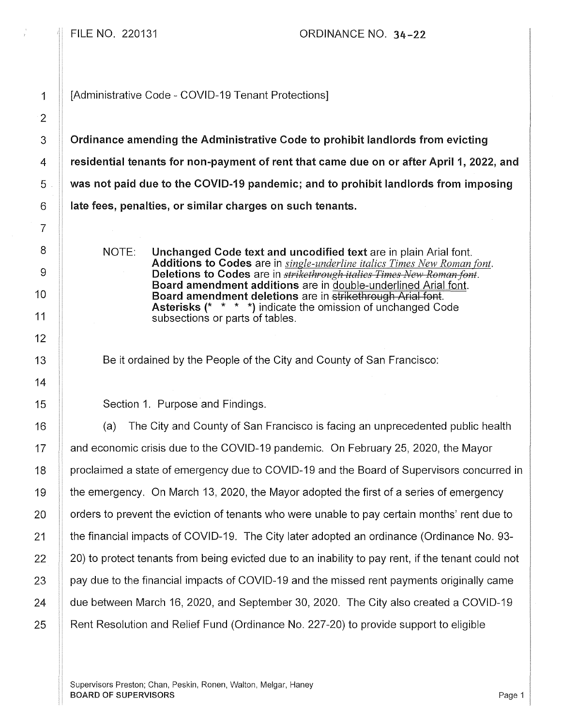FILE NO. 220131 ORDINANCE NO. 34-22

1 | [Administrative Code - COVID-19 Tenant Protections]

3 Cordinance amending the Administrative Code to prohibit landlords from evicting 4 residential tenants for non-payment of rent that came due on or after April 1, 2022, and 5 Wetchins to paid due to the COVID-19 pandemic; and to prohibit landlords from imposing  $6$  || late fees, penalties, or similar charges on such tenants.

> NOTE: Unchanged Code text and uncodified text are in plain Arial font. Additions to Codes are in *single-underline italics Times New Roman font.*  Deletions to Codes are in *strikethrough italics Times New Roman font.* Board amendment additions are in double-underlined Arial font. Board amendment deletions are in strikethrough Arial font. Asterisks(\* \* \* \*) indicate the omission of unchanged Code subsections or parts of tables.

Be it ordained by the People of the City and County of San Francisco:

Section 1. Purpose and Findings.

(a) The City and County of San Francisco is facing an unprecedented public health and economic crisis due to the COVID-19 pandemic. On February 25, 2020, the Mayor proclaimed a state of emergency due to COVI D-19 and the Board of Supervisors concurred in the emergency. On March 13, 2020, the Mayor adopted the first of a series of emergency orders to prevent the eviction of tenants who were unable to pay certain months' rent due to the financial impacts of COVID-19. The City later adopted an ordinance (Ordinance No. 93- 20) to protect tenants from being evicfed due to an inability to pay rent, if the tenant could not pay due to the financial impacts of COVID-19 and the missed rent payments originally came due between March 16, 2020, and September 30, 2020. The City also created a COVID-19 Rent Resolution and Relief Fund (Ordinance No. 227-20) to provide support to eligible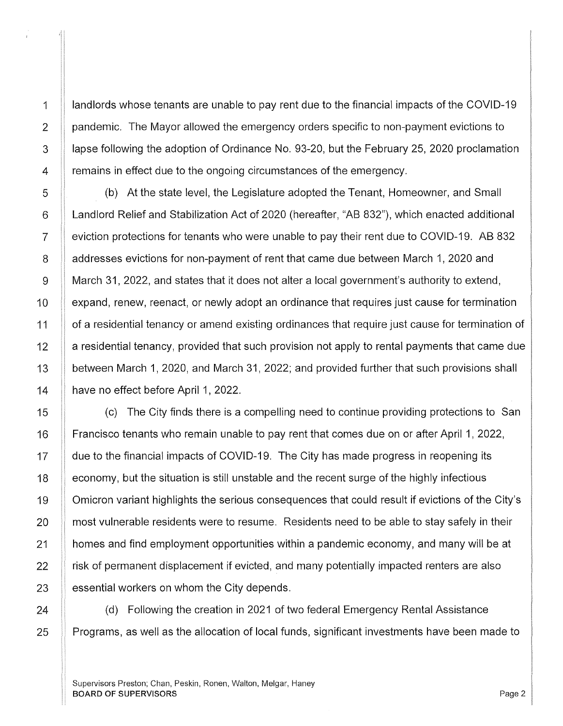landlords whose tenants are unable to pay rent due to the financial impacts of the COVID-19 pandemic. The Mayor allowed the emergency orders specific to non-payment evictions to lapse following the adoption of Ordinance No. 93-20, but the February 25, 2020 proclamation remains in effect due to the ongoing circumstances of the emergency.

(b) At the state level, the Legislature adopted the Tenant, Homeowner, and Small Landlord Relief and Stabilization Act of 2020 (hereafter, "AB 832"), which enacted additional eviction protections for tenants who were unable to pay their rent due to COVID-19. AB 832 addresses evictions for non-payment of rent that came due between March 1, 2020 and March 31, 2022, and states that it does not alter a local government's authority to extend, expand, renew, reenact, or newly adopt an ordinance that requires just cause for termination of a residential tenancy or amend existing ordinances that require just cause for termination of a residential tenancy, provided that such provision not apply to rental payments that came due between March 1, 2020, and March 31, 2022; and provided further that such provisions shall have no effect before April 1, 2022.

(c) The City finds there is a compelling need to continue providing protections to San Francisco tenants who remain unable to pay rent that comes due on or after April 1, 2022, due to the financial impacts of COVID-19. The City has made progress in reopening its economy, but the situation is still unstable and the recent surge of the highly infectious Omicron variant highlights the serious consequences that could result if evictions of the City's most vulnerable residents were to resume. Residents need to be able to stay safely in their homes and find employment opportunities within a pandemic economy, and many will be at risk of permanent displacement if evicted, and many potentially impacted renters are also essential workers on whom the City depends.

(d) Following the creation in 2021 of two federal Emergency Rental Assistance Programs, as well as the allocation of local funds, significant investments have been made to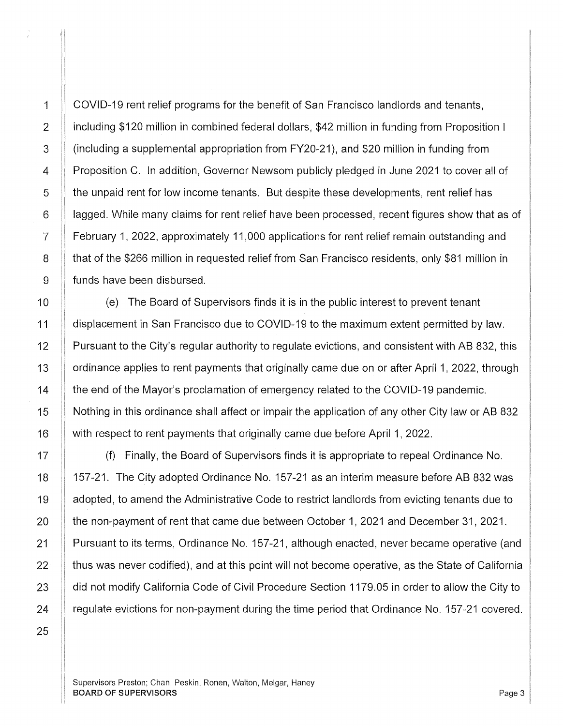COVID-19 rent relief programs for the benefit of San Francisco landlords and tenants, including \$120 million in combined federal dollars, \$42 million in funding from Proposition I (including a supplemental appropriation from FY20-21), and \$20 million in funding from Proposition C. In addition, Governor Newsom publicly pledged in June 2021 to cover all of the unpaid rent for low income tenants. But despite these developments, rent relief has lagged. While many claims for rent relief have been processed, recent figures show that as of February 1, 2022, approximately 11,000 applications for rent relief remain outstanding and that of the \$266 million in requested relief from San Francisco residents, only \$81 million in funds have been disbursed.

(e) The Board of Supervisors finds it is in the public interest to prevent tenant displacement in San Francisco due to COVID-19 to the maximum extent permitted by law. Pursuant to the City's regular authority to regulate evictions, and consistent with AB 832, this ordinance applies to rent payments that originally came due on or after April 1, 2022, through the end of the Mayor's proclamation of emergency related to the COVID-19 pandemic. Nothing in this ordinance shall affect or impair the application of any other City law or AB 832 with respect to rent payments that originally came due before April 1, 2022.

(f) Finally, the Board of Supervisors finds it is appropriate to repeal Ordinance No. 157-21. The City adopted Ordinance No. 157-21 as an interim measure before AB 832 was adopted, to amend the Administrative Code to restrict landlords from evicting tenants due to the non-payment of rent that came due between October 1, 2021 and December 31, 2021. Pursuant to its terms, Ordinance No. 157-21, although enacted, never became operative (and thus was never codified), and at this point will not become operative, as the State of California did not modify California Code of Civil Procedure Section 1179.05 in order to allow the City to regulate evictions for non-payment during the time period that Ordinance No. 157-21 covered.

Supervisors Preston; Chan, Peskin, Ronen, Walton, Melgar, Haney BOARD OF SUPERVISORS And the state of the state of the state of the state of the state of the state of the state of the state of the state of the state of the state of the state of the state of the state of the state of th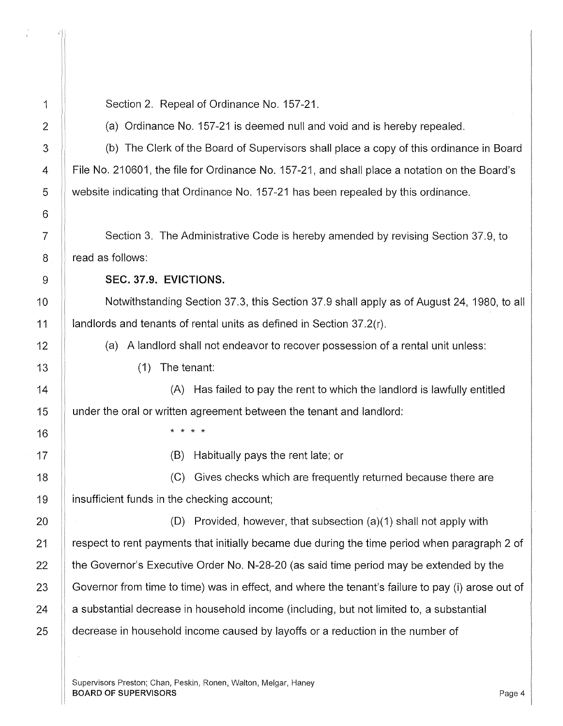Section 2. Repeal of Ordinance No. 157-21.

(a) Ordinance No. 157-21 is deemed null and void and is hereby repealed.

(b) The Clerk of the Board of Supervisors shall place a copy of this ordinance in Board File No. 210601, the file for Ordinance No. 157-21, and shall place a notation on the Board's website indicating that Ordinance No. 157-21 has been repealed by this ordinance.

Section 3. The Administrative Code is hereby amended by revising Section 37.9, to read as follows:

SEC. 37.9. EVICTIONS.

Notwithstanding Section 37.3, this Section 37.9 shall apply as of August 24, 1980, to all landlords and tenants of rental units as defined in Section 37.2(r).

(a) A landlord shall not endeavor to recover possession of a rental unit unless:

( 1) The tenant:

(A) Has failed to pay the rent to which the landlord is lawfully entitled under the oral or written agreement between the tenant and landlord:

\* \* \* \*

(B) Habitually pays the rent late; or

(C) Gives checks which are frequently returned because there are insufficient funds in the checking account;

(0) Provided, however, that subsection (a)(1) shall not apply with respect to rent payments that initially became due during the time period when paragraph 2 of the Governor's Executive Order No. N-28-20 (as said time period may be extended by the Governor from time to time) was in effect, and where the tenant's failure to pay (i) arose out of a substantial decrease in household income (including, but not limited to, a substantial decrease in household income caused by layoffs or a reduction in the number of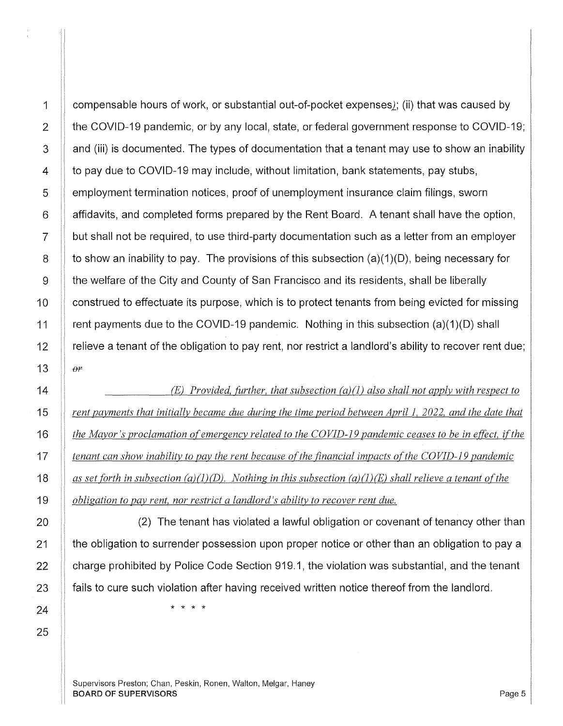compensable hours of work, or substantial out-of-pocket expenses]; (ii) that was caused by the COVID-19 pandemic, or by any local, state, or federal government response to COVID-19; and (iii) is documented. The types of documentation that a tenant may use to show an inability to pay due to COVID-19 may include, without limitation, bank statements, pay stubs, employment termination notices, proof of unemployment insurance claim filings, sworn affidavits, and completed forms prepared by the Rent Board. A tenant shall have the option, but shall not be required, to use third-party documentation such as a letter from an employer to show an inability to pay. The provisions of this subsection (a)(1)(D), being necessary for the welfare of the City and County of San Francisco and its residents, shall be liberally construed to effectuate its purpose, which is to protect tenants from being evicted for missing rent payments due to the COVID-19 pandemic. Nothing in this subsection  $(a)(1)(D)$  shall relieve a tenant of the obligation to pay rent, nor restrict a landlord's ability to recover rent due;  $\theta^{\mu}$ 

 $(E)$  Provided, further, that subsection  $(a)(1)$  also shall not apply with respect to *rent payments that initially became due during the time period between April 1, 2022, and the date that the Mayor's proclamation of emergency related to the COVID-19 pandemic ceases to be in effect, if the tenant can show inability to pay the rent because of the financial impacts of the COVID-19 pandemic as set forth in subsection (a){J ){D). Nothing in this subsection (a){J ){E) shall relieve a tenant of the obligation to pay rent, nor restrict a landlord's ability to recover rent due.* 

(2) The tenant has violated a lawful obligation or covenant of tenancy other than the obligation to surrender possession upon proper notice or other than an obligation to pay a charge prohibited by Police Code Section 919.1, the violation was substantial, and the tenant fails to cure such violation after having received written notice thereof from the landlord.

\* \* \* \*

Supervisors Preston; Chan, Peskin, Ronen, Walton, Melgar, Haney **BOARD OF SUPERVISORS** Page 5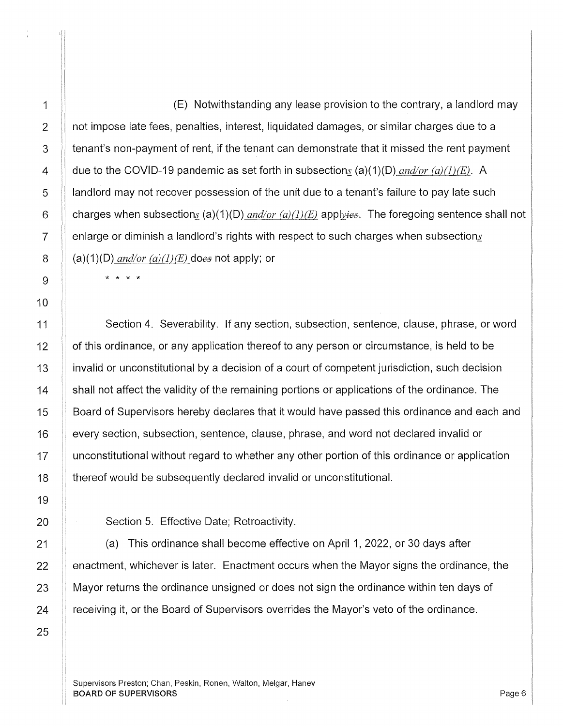(E) Notwithstanding any lease provision to the contrary, a landlord may not impose late fees, penalties, interest, liquidated damages, or similar charges due to a tenant's non-payment of rent, if the tenant can demonstrate that it missed the rent payment due to the COVID-19 pandemic as set forth in subsections (a)(1)(D) *and/or (a)(1)(E)*. A landlord may not recover possession of the unit due to a tenant's failure to pay late such charges when subsections (a)(1)(D)  $and/or (a)(l)/E$ ) applyies. The foregoing sentence shall not enlarge or diminish a landlord's rights with respect to such charges when subsections  $(a)(1)(D)$  *and/or*  $(a)(1)(E)$  does not apply; or

\* \* \* \*

Section 4. Severability. If any section, subsection, sentence, clause, phrase, or word of this ordinance, or any application thereof to any person or circumstance, is held to be invalid or unconstitutional by a decision of a court of competent jurisdiction, such decision shall not affect the validity of the remaining portions or applications of the ordinance. The Board of Supervisors hereby declares that it would have passed this ordinance and each and every section, subsection, sentence, clause, phrase, and word not declared invalid or unconstitutional without regard to whether any other portion of this ordinance or application thereof would be subsequently declared invalid or unconstitutional.

Section 5. Effective Date; Retroactivity.

(a) This ordinance shall become effective on April 1, 2022, or 30 days after enactment, whichever is later. Enactment occurs when the Mayor signs the ordinance, the Mayor returns the ordinance unsigned or does not sign the ordinance within ten days of receiving it, or the Board of Supervisors overrides the Mayor's veto of the ordinance.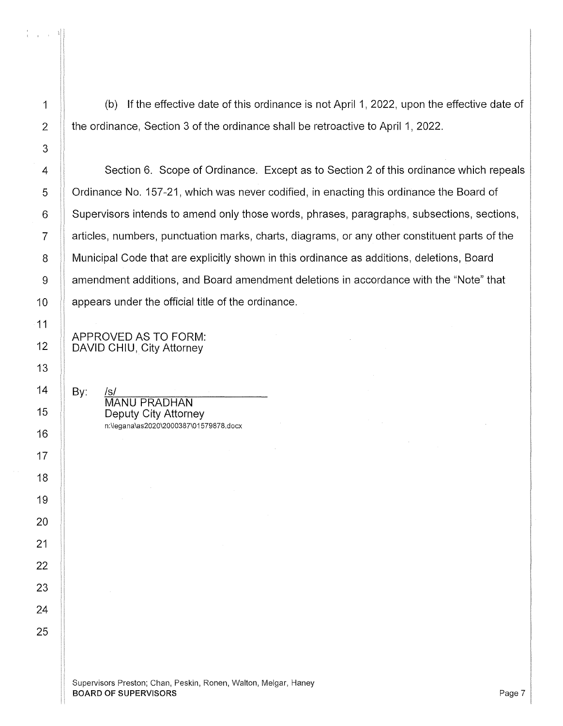$\Delta \sim 10^7$ 

(b) If the effective date of this ordinance is not April 1, 2022, upon the effective date of the ordinance, Section 3 of the ordinance shall be retroactive to April 1, 2022.

4 Section 6. Scope of Ordinance. Except as to Section 2 of this ordinance which repeals **S** Ordinance No. 157-21, which was never codified, in enacting this ordinance the Board of  $\parallel$  Supervisors intends to amend only those words, phrases, paragraphs, subsections, sections, || articles, numbers, punctuation marks, charts, diagrams, or any other constituent parts of the 8 | Municipal Code that are explicitly shown in this ordinance as additions, deletions, Board 9 | amendment additions, and Board amendment deletions in accordance with the "Note" that || appears under the official title of the ordinance.

APPROVED AS TO FORM: DAVID CHIU, City Attorney

 $By:$  $\overline{\mathsf{M}}$ ANU PRADHAN Deputy City Attorney n :\leg ana \as2020\2000387\015 79878 .docx